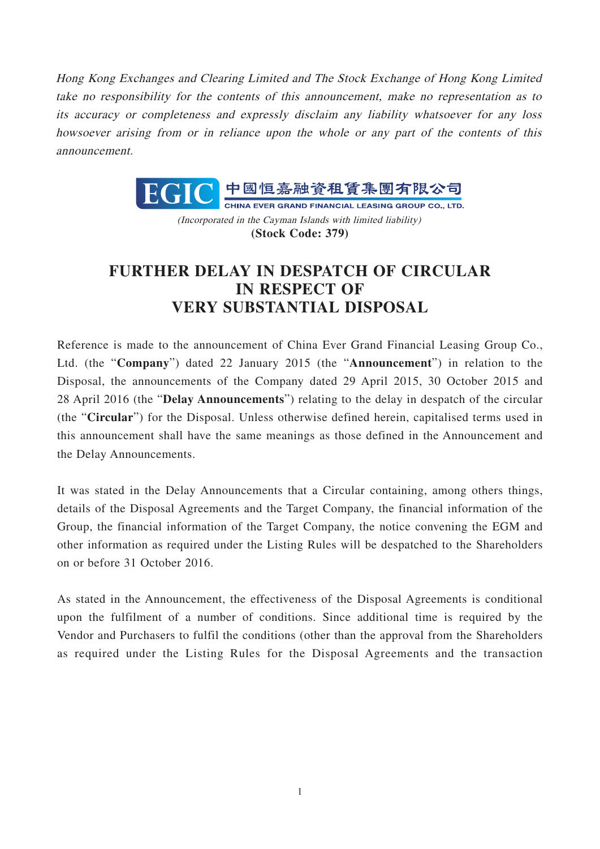Hong Kong Exchanges and Clearing Limited and The Stock Exchange of Hong Kong Limited take no responsibility for the contents of this announcement, make no representation as to its accuracy or completeness and expressly disclaim any liability whatsoever for any loss howsoever arising from or in reliance upon the whole or any part of the contents of this announcement.



(Incorporated in the Cayman Islands with limited liability) **(Stock Code: 379)**

## **FURTHER DELAY IN DESPATCH OF CIRCULAR IN RESPECT OF VERY SUBSTANTIAL DISPOSAL**

Reference is made to the announcement of China Ever Grand Financial Leasing Group Co., Ltd. (the "**Company**") dated 22 January 2015 (the "**Announcement**") in relation to the Disposal, the announcements of the Company dated 29 April 2015, 30 October 2015 and 28 April 2016 (the "**Delay Announcements**") relating to the delay in despatch of the circular (the "**Circular**") for the Disposal. Unless otherwise defined herein, capitalised terms used in this announcement shall have the same meanings as those defined in the Announcement and the Delay Announcements.

It was stated in the Delay Announcements that a Circular containing, among others things, details of the Disposal Agreements and the Target Company, the financial information of the Group, the financial information of the Target Company, the notice convening the EGM and other information as required under the Listing Rules will be despatched to the Shareholders on or before 31 October 2016.

As stated in the Announcement, the effectiveness of the Disposal Agreements is conditional upon the fulfilment of a number of conditions. Since additional time is required by the Vendor and Purchasers to fulfil the conditions (other than the approval from the Shareholders as required under the Listing Rules for the Disposal Agreements and the transaction